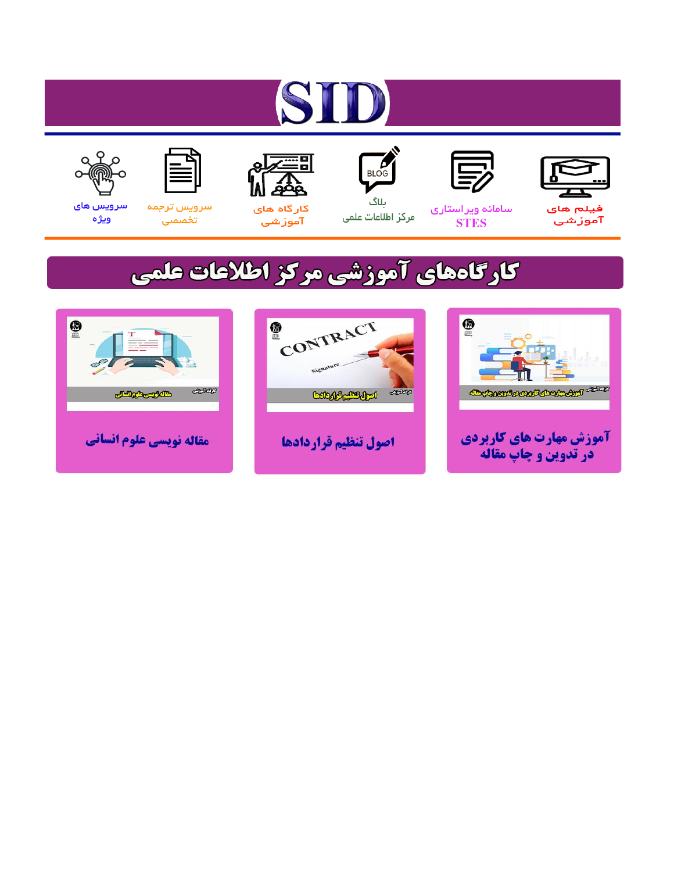# ST











ىلاگ



مرکز اطلاعات علمی

 $\frac{1}{\sqrt{\frac{1}{100}}}$ 

Cologie Legislation

کارگاه های آموزشي

空

ققق

 $\begin{matrix} \textcircled{\footnotesize{A}}\\ \textcircled{\footnotesize{B}} \end{matrix}$ 

سرويس ترجمه تخصصى



سرویس های ويژه

كارگاههای آموزشی مركز اطلاعات علمی

CONTRACT

اصول تنظيم قراردادها



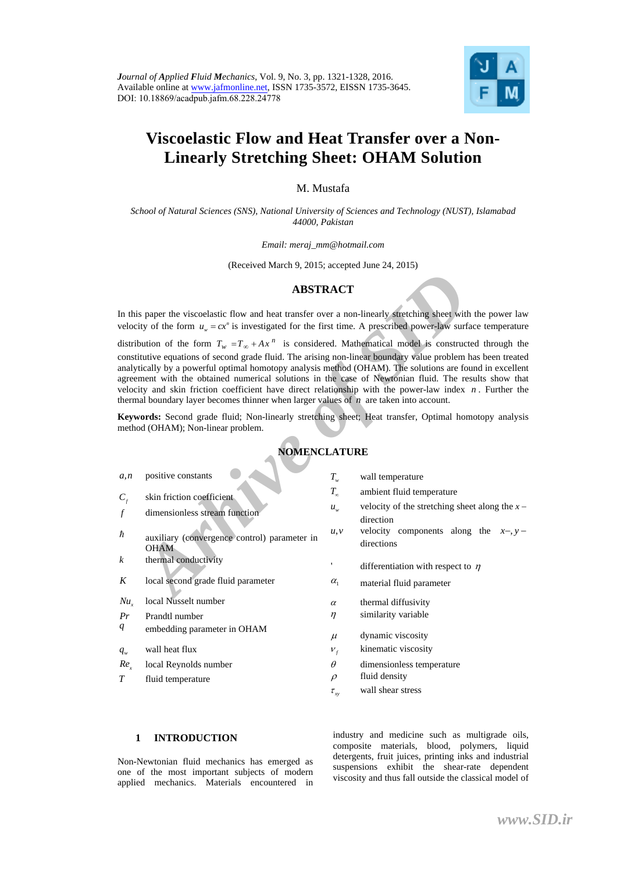

# **Viscoelastic Flow and Heat Transfer over a Non-Linearly Stretching Sheet: OHAM Solution**

M. Mustafa

*School of Natural Sciences (SNS), National University of Sciences and Technology (NUST), Islamabad 44000, Pakistan*

*Email: meraj\_mm@hotmail.com* 

(Received March 9, 2015; accepted June 24, 2015)

### **ABSTRACT**

### **NOMENCLATURE**

|                  | <b>ABSTRACT</b>                                                                                                                                                                                                                                                                                                                                                                                                                                                                                                                                                                                                                                                |                |                                                               |
|------------------|----------------------------------------------------------------------------------------------------------------------------------------------------------------------------------------------------------------------------------------------------------------------------------------------------------------------------------------------------------------------------------------------------------------------------------------------------------------------------------------------------------------------------------------------------------------------------------------------------------------------------------------------------------------|----------------|---------------------------------------------------------------|
|                  | In this paper the viscoelastic flow and heat transfer over a non-linearly stretching sheet with the power law<br>velocity of the form $u_w = cx^n$ is investigated for the first time. A prescribed power-law surface temperature                                                                                                                                                                                                                                                                                                                                                                                                                              |                |                                                               |
|                  | distribution of the form $T_w = T_{\infty} + Ax^n$ is considered. Mathematical model is constructed through the<br>constitutive equations of second grade fluid. The arising non-linear boundary value problem has been treated<br>analytically by a powerful optimal homotopy analysis method (OHAM). The solutions are found in excellent<br>agreement with the obtained numerical solutions in the case of Newtonian fluid. The results show that<br>velocity and skin friction coefficient have direct relationship with the power-law index $n$ . Further the<br>thermal boundary layer becomes thinner when larger values of $n$ are taken into account. |                |                                                               |
|                  | Keywords: Second grade fluid; Non-linearly stretching sheet; Heat transfer, Optimal homotopy analysis<br>method (OHAM); Non-linear problem.                                                                                                                                                                                                                                                                                                                                                                                                                                                                                                                    |                |                                                               |
|                  | <b>NOMENCLATURE</b>                                                                                                                                                                                                                                                                                                                                                                                                                                                                                                                                                                                                                                            |                |                                                               |
| a, n             | positive constants                                                                                                                                                                                                                                                                                                                                                                                                                                                                                                                                                                                                                                             | $T_{w}$        | wall temperature                                              |
| $C_{\rm f}$      | skin friction coefficient                                                                                                                                                                                                                                                                                                                                                                                                                                                                                                                                                                                                                                      | $T_{\infty}$   | ambient fluid temperature                                     |
| $\int$           | dimensionless stream function                                                                                                                                                                                                                                                                                                                                                                                                                                                                                                                                                                                                                                  | $u_{w}$        | velocity of the stretching sheet along the $x -$<br>direction |
| ħ                | auxiliary (convergence control) parameter in<br><b>OHAM</b>                                                                                                                                                                                                                                                                                                                                                                                                                                                                                                                                                                                                    | u, v           | velocity components along the $x-y$ -<br>directions           |
| $\boldsymbol{k}$ | thermal conductivity                                                                                                                                                                                                                                                                                                                                                                                                                                                                                                                                                                                                                                           |                | differentiation with respect to $\eta$                        |
| K                | local second grade fluid parameter                                                                                                                                                                                                                                                                                                                                                                                                                                                                                                                                                                                                                             | $\alpha_{1}$   | material fluid parameter                                      |
| $Nu_{x}$         | local Nusselt number                                                                                                                                                                                                                                                                                                                                                                                                                                                                                                                                                                                                                                           | $\alpha$       | thermal diffusivity                                           |
| Pr               | Prandtl number                                                                                                                                                                                                                                                                                                                                                                                                                                                                                                                                                                                                                                                 | $\eta$         | similarity variable                                           |
| $q_{\parallel}$  | embedding parameter in OHAM                                                                                                                                                                                                                                                                                                                                                                                                                                                                                                                                                                                                                                    | $\mu$          | dynamic viscosity                                             |
| $q_{w}$          | wall heat flux                                                                                                                                                                                                                                                                                                                                                                                                                                                                                                                                                                                                                                                 | $V_f$          | kinematic viscosity                                           |
| $Re_{r}$         | local Reynolds number                                                                                                                                                                                                                                                                                                                                                                                                                                                                                                                                                                                                                                          | $\theta$       | dimensionless temperature                                     |
| T                | fluid temperature                                                                                                                                                                                                                                                                                                                                                                                                                                                                                                                                                                                                                                              | $\rho$         | fluid density                                                 |
|                  |                                                                                                                                                                                                                                                                                                                                                                                                                                                                                                                                                                                                                                                                | $\tau_{\rm w}$ | wall shear stress                                             |
|                  |                                                                                                                                                                                                                                                                                                                                                                                                                                                                                                                                                                                                                                                                |                |                                                               |

#### **1 INTRODUCTION**

Non-Newtonian fluid mechanics has emerged as one of the most important subjects of modern applied mechanics. Materials encountered in

industry and medicine such as multigrade oils, composite materials, blood, polymers, liquid detergents, fruit juices, printing inks and industrial suspensions exhibit the shear-rate dependent viscosity and thus fall outside the classical model of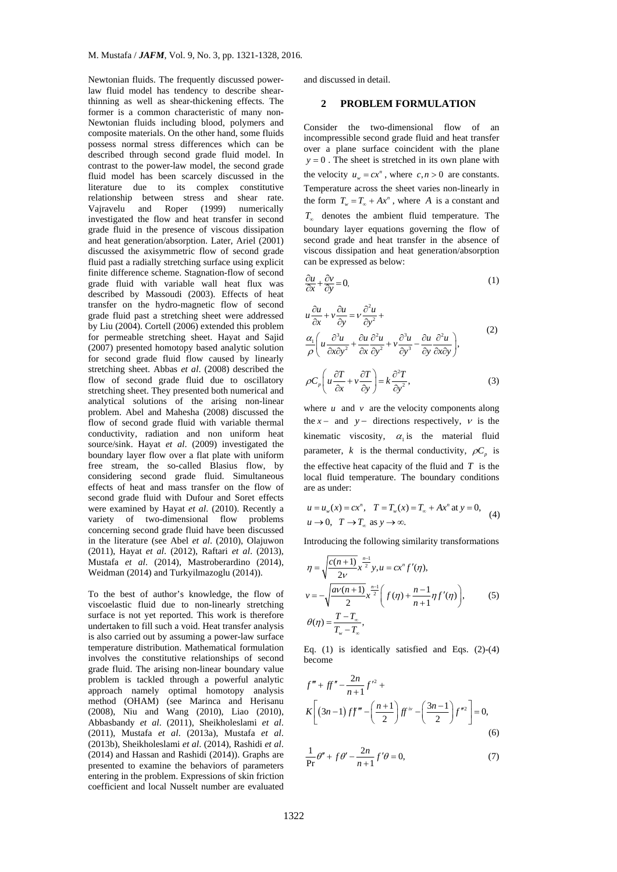Learning surface using experiment the content of the motoclopesity of the matrix of the method by with variable wall heat flux was a stretching sheet were addensed as become the hydro-magnetic flow of second  $u \frac{\partial u}{\partial x} +$ Newtonian fluids. The frequently discussed powerlaw fluid model has tendency to describe shearthinning as well as shear-thickening effects. The former is a common characteristic of many non-Newtonian fluids including blood, polymers and composite materials. On the other hand, some fluids possess normal stress differences which can be described through second grade fluid model. In contrast to the power-law model, the second grade fluid model has been scarcely discussed in the literature due to its complex constitutive relationship between stress and shear rate. Vajravelu and Roper (1999) numerically investigated the flow and heat transfer in second grade fluid in the presence of viscous dissipation and heat generation/absorption. Later, Ariel (2001) discussed the axisymmetric flow of second grade fluid past a radially stretching surface using explicit finite difference scheme. Stagnation-flow of second grade fluid with variable wall heat flux was described by Massoudi (2003). Effects of heat transfer on the hydro-magnetic flow of second grade fluid past a stretching sheet were addressed by Liu (2004). Cortell (2006) extended this problem for permeable stretching sheet. Hayat and Sajid (2007) presented homotopy based analytic solution for second grade fluid flow caused by linearly stretching sheet. Abbas *et al*. (2008) described the flow of second grade fluid due to oscillatory stretching sheet. They presented both numerical and analytical solutions of the arising non-linear problem. Abel and Mahesha (2008) discussed the flow of second grade fluid with variable thermal conductivity, radiation and non uniform heat source/sink. Hayat *et al*. (2009) investigated the boundary layer flow over a flat plate with uniform free stream, the so-called Blasius flow, by considering second grade fluid. Simultaneous effects of heat and mass transfer on the flow of second grade fluid with Dufour and Soret effects were examined by Hayat *et al*. (2010). Recently a variety of two-dimensional flow problems concerning second grade fluid have been discussed in the literature (see Abel *et al*. (2010), Olajuwon (2011), Hayat *et al*. (2012), Raftari *et al*. (2013), Mustafa *et al*. (2014), Mastroberardino (2014), Weidman (2014) and Turkyilmazoglu (2014)).

To the best of author's knowledge, the flow of viscoelastic fluid due to non-linearly stretching surface is not yet reported. This work is therefore undertaken to fill such a void. Heat transfer analysis is also carried out by assuming a power-law surface temperature distribution. Mathematical formulation involves the constitutive relationships of second grade fluid. The arising non-linear boundary value problem is tackled through a powerful analytic approach namely optimal homotopy analysis method (OHAM) (see Marinca and Herisanu (2008), Niu and Wang (2010), Liao (2010), Abbasbandy *et al*. (2011), Sheikholeslami *et al*. (2011), Mustafa *et al*. (2013a), Mustafa *et al*. (2013b), Sheikholeslami *et al*. (2014), Rashidi *et al*. (2014) and Hassan and Rashidi (2014)). Graphs are presented to examine the behaviors of parameters entering in the problem. Expressions of skin friction coefficient and local Nusselt number are evaluated and discussed in detail.

#### **2 PROBLEM FORMULATION**

Consider the two-dimensional flow of an incompressible second grade fluid and heat transfer over a plane surface coincident with the plane  $y = 0$ . The sheet is stretched in its own plane with the velocity  $u_w = cx^n$ , where  $c, n > 0$  are constants. Temperature across the sheet varies non-linearly in the form  $T_w = T_\infty + Ax^n$ , where *A* is a constant and  $T_{\infty}$  denotes the ambient fluid temperature. The boundary layer equations governing the flow of second grade and heat transfer in the absence of viscous dissipation and heat generation/absorption can be expressed as below:



where  $u$  and  $v$  are the velocity components along the *x*  $\sim$  and *y*  $\sim$  directions respectively, *v* is the kinematic viscosity,  $\alpha_1$  is the material fluid parameter, *k* is the thermal conductivity,  $\rho C$  is the effective heat capacity of the fluid and *T* is the local fluid temperature. The boundary conditions are as under:

$$
u = u_w(x) = cx^n, \quad T = T_w(x) = T_\infty + Ax^n \text{ at } y = 0,
$$
  

$$
u \to 0, \quad T \to T_\infty \text{ as } y \to \infty.
$$
 (4)

Introducing the following similarity transformations

$$
\eta = \sqrt{\frac{c(n+1)}{2\nu}} x^{\frac{n-1}{2}} y, u = cx^{n} f'(\eta),
$$
  
\n
$$
v = -\sqrt{\frac{av(n+1)}{2}} x^{\frac{n-1}{2}} \left( f(\eta) + \frac{n-1}{n+1} \eta f'(\eta) \right),
$$
  
\n
$$
\theta(\eta) = \frac{T - T_{\infty}}{T_{\infty} - T_{\infty}},
$$
\n(5)

Eq.  $(1)$  is identically satisfied and Eqs.  $(2)-(4)$ become

$$
f''' + ff'' - \frac{2n}{n+1}f'^2 +
$$
  
\n
$$
K\left[ (3n-1)ff''' - \left(\frac{n+1}{2}\right)ff'^2 - \left(\frac{3n-1}{2}\right)f''^2 \right] = 0,
$$
  
\n(6)

$$
\frac{1}{\Pr} \theta'' + f \theta' - \frac{2n}{n+1} f' \theta = 0,\tag{7}
$$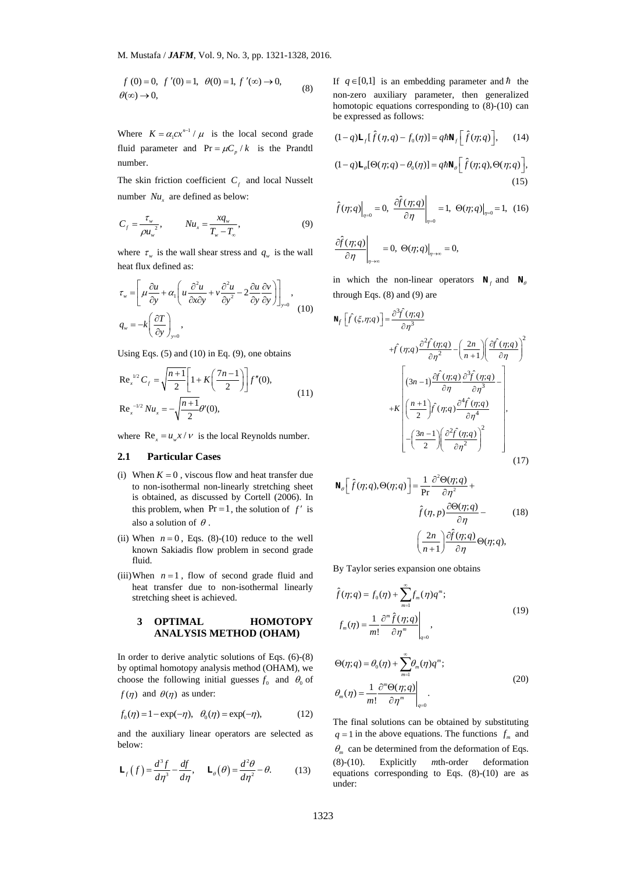$$
f(0) = 0, f'(0) = 1, \theta(0) = 1, f'(\infty) \to 0,
$$
  
 $\theta(\infty) \to 0,$  (8)

Where  $K = \alpha_1 c x^{n-1} / \mu$  is the local second grade fluid parameter and  $Pr = \mu C_p / k$  is the Prandtl number.

The skin friction coefficient  $C_f$  and local Nusselt number  $Nu_x$  are defined as below:

$$
C_f = \frac{\tau_w}{\rho u_w^2}, \qquad Nu_x = \frac{xq_w}{T_w - T_w}, \tag{9}
$$

where  $\tau_w$  is the wall shear stress and  $q_w$  is the wall heat flux defined as:

$$
\tau_{w} = \left[ \mu \frac{\partial u}{\partial y} + \alpha_{1} \left( u \frac{\partial^{2} u}{\partial x \partial y} + v \frac{\partial^{2} u}{\partial y^{2}} - 2 \frac{\partial u}{\partial y} \frac{\partial v}{\partial y} \right) \right]_{y=0},
$$
\n
$$
q_{w} = -k \left( \frac{\partial T}{\partial y} \right)_{y=0},
$$
\n(10)

Using Eqs. (5) and (10) in Eq. (9), one obtains

Re<sub>x</sub><sup>1/2</sup> C<sub>f</sub> = 
$$
\sqrt{\frac{n+1}{2}} \left[ 1 + K \left( \frac{7n-1}{2} \right) \right] f''(0),
$$
  
Re<sub>x</sub><sup>-1/2</sup> Nu<sub>x</sub> =  $-\sqrt{\frac{n+1}{2}} \theta'(0),$  (11)

where  $\text{Re}_x = u_w x / v$  is the local Reynolds number.

#### **2.1 Particular Cases**

- (i) When  $K = 0$ , viscous flow and heat transfer due to non-isothermal non-linearly stretching sheet is obtained, as discussed by Cortell (2006). In this problem, when  $Pr = 1$ , the solution of  $f'$  is also a solution of  $\theta$
- (ii) When  $n = 0$ , Eqs. (8)-(10) reduce to the well known Sakiadis flow problem in second grade fluid.
- (iii)When  $n = 1$ , flow of second grade fluid and heat transfer due to non-isothermal linearly stretching sheet is achieved.

#### **3 OPTIMAL HOMOTOPY ANALYSIS METHOD (OHAM)**

In order to derive analytic solutions of Eqs. (6)-(8) by optimal homotopy analysis method (OHAM), we choose the following initial guesses  $f_0$  and  $\theta_0$  of  $f(\eta)$  and  $\theta(\eta)$  as under:

$$
f_0(\eta) = 1 - \exp(-\eta), \quad \theta_0(\eta) = \exp(-\eta),
$$
 (12)

and the auxiliary linear operators are selected as below:

$$
\mathbf{L}_f(f) = \frac{d^3 f}{d\eta^3} - \frac{df}{d\eta}, \quad \mathbf{L}_\theta(\theta) = \frac{d^2 \theta}{d\eta^2} - \theta. \tag{13}
$$

If  $q \in [0,1]$  is an embedding parameter and  $\hbar$  the non-zero auxiliary parameter, then generalized homotopic equations corresponding to  $(8)-(10)$  can be expressed as follows:

$$
(1-q)\mathbf{L}_f[\hat{f}(\eta,q) - f_0(\eta)] = q\hbar\mathbf{N}_f[\hat{f}(\eta;q)], \qquad (14)
$$

$$
(1-q)\mathbf{L}_{\theta}[\Theta(\eta;q) - \theta_0(\eta)] = q\hbar \mathbf{N}_{\theta} \left[ \hat{f}(\eta;q), \Theta(\eta;q) \right],
$$
\n(15)

$$
\hat{f}(\eta; q) \Big|_{\eta=0} = 0, \left. \frac{\partial \hat{f}(\eta; q)}{\partial \eta} \right|_{\eta=0} = 1, \left. \Theta(\eta; q) \right|_{\eta=0} = 1, (16)
$$

$$
\left.\frac{\partial \hat{f}(\eta;q)}{\partial \eta}\right|_{\eta\to\infty}=0,\ \Theta(\eta;q)\right|_{\eta\to\infty}=0,
$$

in which the non-linear operators  $N_f$  and  $N_g$ through Eqs. (8) and (9) are

flux defined as:

\n
$$
\left[ \frac{\partial u}{\partial y} + \alpha_i \left( u \frac{\partial^2 u}{\partial x \partial y} + v \frac{\partial^2 u}{\partial y^2} - 2 \frac{\partial u}{\partial y} \frac{\partial v}{\partial y} \right) \right]_{y=0},
$$
\nin which the non-linear operators **N**<sub>f</sub> and **N**<sub>0</sub>

\n
$$
= k \left( \frac{\partial T}{\partial y} \right)_{y=0},
$$
\nthrough Eqs. (5) and (10) in Eq. (9), one obtains

\n
$$
c_f = \sqrt{\frac{n+1}{2}} \left[ 1 + K \left( \frac{7n-1}{2} \right) \right] f'(0),
$$
\n
$$
R = \left( \frac{n+1}{2} \right) f'(0),
$$
\n
$$
R = \left( \frac{n+1}{2} \right) f'(0),
$$
\n
$$
R = \left( \frac{n+1}{2} \right) f'(0),
$$
\n
$$
R = \left( \frac{n+1}{2} \right) f'(0),
$$
\n
$$
R = \left( \frac{n+1}{2} \right) f'(0),
$$
\n
$$
R = \left( \frac{n+1}{2} \right) f'(0),
$$
\n
$$
R = \left( \frac{n+1}{2} \right) f'(0),
$$
\n
$$
R = \left( \frac{n+1}{2} \right) f'(0),
$$
\n
$$
R = \left( \frac{n+1}{2} \right) f'(0),
$$
\n
$$
R = \left( \frac{n+1}{2} \right) f'(0),
$$
\n
$$
R = \left( \frac{n+1}{2} \right) \left( \frac{\partial^2 f'(0), g}{\partial \eta^2} \right)^2
$$
\nParticular Cases

\nObtained, as discussed by Cortell (2006). In

\nWhen *n* = 0, **Bayes (8)** (O) reduce to the well and non-linear of the solution of *f* is

\nWhen *n* = 0, **Bayes (8)** (O) reduce to the well and

\nWhen *n* = 1, **flow of second grade fluid and**

\nBy Taylor series expansion one obtains

\nBy Taylor series expansion

$$
\mathbf{N}_{\theta} \left[ \hat{f}(\eta; q), \Theta(\eta; q) \right] = \frac{1}{\text{Pr}} \frac{\partial^2 \Theta(\eta; q)}{\partial \eta^2} + \hat{f}(\eta, p) \frac{\partial \Theta(\eta; q)}{\partial \eta} - \hat{f}(\eta; q) \frac{\partial \hat{f}(\eta; q)}{\partial \eta} - \frac{\left(\frac{2n}{n+1}\right) \frac{\partial \hat{f}(\eta; q)}{\partial \eta} \Theta(\eta; q),
$$
\n(18)

By Taylor series expansion one obtains

$$
\hat{f}(\eta; q) = f_0(\eta) + \sum_{m=1}^{\infty} f_m(\eta) q^m;
$$
\n
$$
f_m(\eta) = \frac{1}{m!} \frac{\partial^m \hat{f}(\eta; q)}{\partial \eta^m} \bigg|_{q=0},
$$
\n(19)

$$
\Theta(\eta; q) = \theta_0(\eta) + \sum_{m=1}^{\infty} \theta_m(\eta) q^m;
$$
  

$$
\theta_m(\eta) = \frac{1}{m!} \frac{\partial^m \Theta(\eta; q)}{\partial \eta^m} \bigg|_{q=0}.
$$
 (20)

The final solutions can be obtained by substituting  $q = 1$  in the above equations. The functions  $f_m$  and  $\theta_m$  can be determined from the deformation of Eqs. (8)-(10). Explicitly *m*th-order deformation equations corresponding to Eqs. (8)-(10) are as under: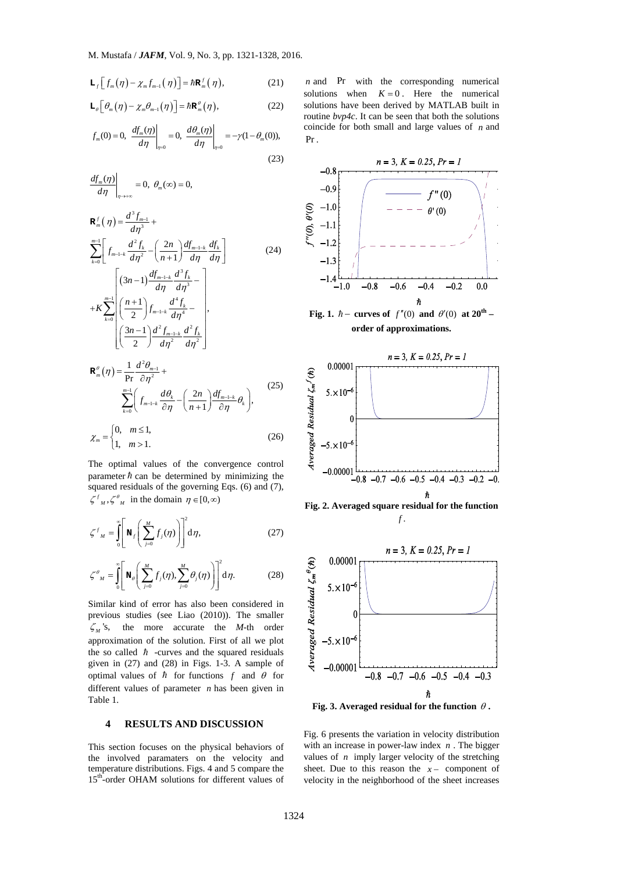$$
\mathbf{L}_f\left[f_m(\eta) - \chi_m f_{m-1}(\eta)\right] = \hbar \mathbf{R}_m^f(\eta),\tag{21}
$$

$$
\mathbf{L}_{\theta}\Big[\theta_{m}\big(\eta\big)-\chi_{m}\theta_{m-1}\big(\eta\big)\Big]=\hbar\mathbf{R}_{m}^{\theta}\big(\eta\big),\tag{22}
$$

$$
f_m(0) = 0, \left. \frac{df_m(\eta)}{d\eta} \right|_{\eta=0} = 0, \left. \frac{d\theta_m(\eta)}{d\eta} \right|_{\eta=0} = -\gamma (1 - \theta_m(0)),
$$
\n(23)

$$
\left.\frac{df_m(\eta)}{d\eta}\right|_{\eta\to+\infty}=0,\ \theta_m(\infty)=0,
$$

$$
\mathbf{R}_{m}^{f}(\eta) = \frac{d^{3}f_{m-1}}{d\eta^{3}} + \frac{d^{3}f_{k}}{d\eta^{3}} + \sum_{k=1}^{m-1} \left[ f_{k} \cdot \frac{d^{2}f_{k}}{d\eta^{2}} - \left( \frac{2n}{\eta} \right) \frac{df_{m-k}}{d\eta^{2}} \frac{df_{k}}{d\eta^{2}} \right] \tag{24}
$$

$$
\sum_{k=0}^{m-1} \left[ f_{m-1-k} \frac{d^2 f_k}{d \eta^2} - \left( \frac{2n}{n+1} \right) \frac{df_{m-1-k}}{d \eta} \frac{df_k}{d \eta} \right]
$$
(24)  
+K
$$
\sum_{k=0}^{m-1} \left[ \left( \frac{3n-1}{2} \right) \frac{df_{m-1-k}}{d \eta} \frac{d^3 f_k}{d \eta^3} - \right] + K \sum_{k=0}^{m-1} \left( \frac{n+1}{2} \right) f_{m-1-k} \frac{d^4 f_k}{d \eta^4} - \left( \frac{3n-1}{2} \right) \frac{d^2 f_{m-1-k}}{d \eta^2} \frac{d^2 f_k}{d \eta^2} \right],
$$
  

$$
\mathbf{R}_m^{\theta}(\eta) = \frac{1}{\text{Pr}} \frac{d^2 \theta_{m-1}}{\partial \eta^2} + \sum_{k=0}^{m-1} \left( f_{m-1-k} \frac{d \theta_k}{\partial \eta} - \left( \frac{2n}{n+1} \right) \frac{df_{m-1-k}}{\partial \eta} \theta_k \right),
$$
(25)

$$
\chi_m = \begin{cases} 0, & m \le 1, \\ 1, & m > 1. \end{cases}
$$
 (26)

The optimal values of the convergence control parameter  $\hbar$  can be determined by minimizing the squared residuals of the governing Eqs. (6) and (7),  $\zeta^{f}_{M}, \zeta^{g}_{M}$  in the domain  $\eta \in [0, \infty)$ 

$$
\zeta^{f}{}_{M} = \int_{0}^{\infty} \left[ \mathbf{N}_{f} \left( \sum_{j=0}^{M} f_{j}(\eta) \right) \right]^{2} \mathbf{d}\eta, \qquad (27)
$$

$$
\zeta^{{\theta}{}_{M}} = \int_{0}^{\infty} \left[ \mathbf{N}_{\theta} \left( \sum_{j=0}^{M} f_{j}(\eta) \sum_{j=0}^{M} \theta_{j}(\eta) \right) \right]^{2} \mathbf{d}\eta. \qquad (28)
$$

Similar kind of error has also been considered in previous studies (see Liao (2010)). The smaller  $\zeta_M$ 's, the more accurate the *M*-th order approximation of the solution. First of all we plot the so called  $\hbar$  -curves and the squared residuals given in (27) and (28) in Figs. 1-3. A sample of optimal values of  $\hbar$  for functions  $f$  and  $\theta$  for different values of parameter *n* has been given in Table 1.

#### **4 RESULTS AND DISCUSSION**

This section focuses on the physical behaviors of the involved paramaters on the velocity and temperature distributions. Figs. 4 and 5 compare the 15<sup>th</sup>-order OHAM solutions for different values of

*n* and Pr with the corresponding numerical solutions when  $K = 0$ . Here the numerical solutions have been derived by MATLAB built in routine *bvp4c*. It can be seen that both the solutions coincide for both small and large values of *n* and Pr .



**Fig. 2. Averaged square residual for the function**  *f* .



Fig. 3. Averaged residual for the function  $\theta$ .

Fig. 6 presents the variation in velocity distribution with an increase in power-law index *n* . The bigger values of *n* imply larger velocity of the stretching sheet. Due to this reason the  $x -$  component of velocity in the neighborhood of the sheet increases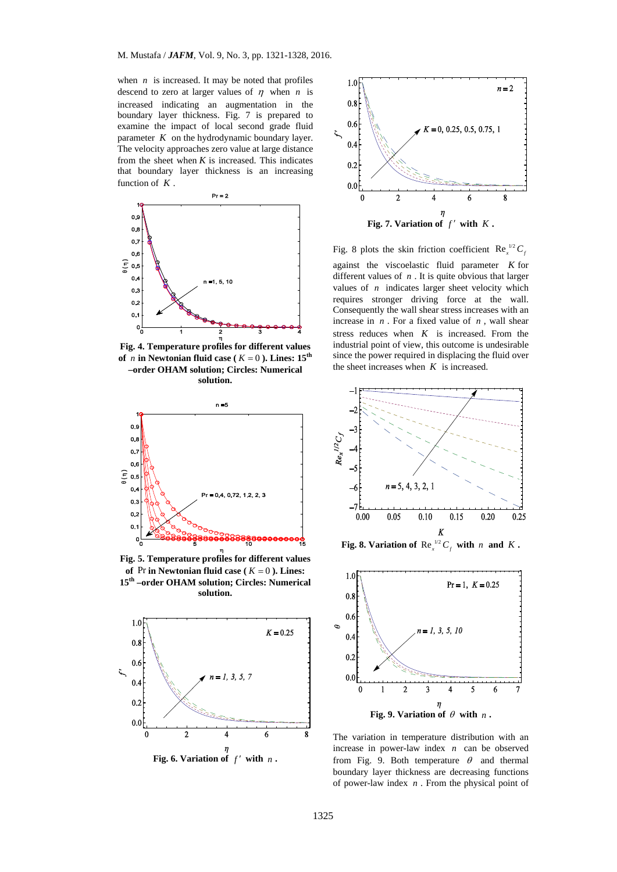when  $n$  is increased. It may be noted that profiles descend to zero at larger values of  $\eta$  when *n* is increased indicating an augmentation in the boundary layer thickness. Fig. 7 is prepared to examine the impact of local second grade fluid parameter *K* on the hydrodynamic boundary layer. The velocity approaches zero value at large distance from the sheet when  $K$  is increased. This indicates that boundary layer thickness is an increasing function of *K* .



**Fig. 4. Temperature profiles for different values**  of *n* in Newtonian fluid case ( $K = 0$ ). Lines: 15<sup>th</sup> **–order OHAM solution; Circles: Numerical solution.** 



**Fig. 5. Temperature profiles for different values**  of Pr in Newtonian fluid case ( $K = 0$ ). Lines: **15th –order OHAM solution; Circles: Numerical solution.** 





Fig. 8 plots the skin friction coefficient Re<sup> $1/2$ </sup> C<sub>f</sub> against the viscoelastic fluid parameter *K* for different values of *n* . It is quite obvious that larger values of *n* indicates larger sheet velocity which requires stronger driving force at the wall. Consequently the wall shear stress increases with an increase in *n* . For a fixed value of *n* , wall shear stress reduces when *K* is increased. From the industrial point of view, this outcome is undesirable since the power required in displacing the fluid over the sheet increases when *K* is increased.



**Fig. 8. Variation of**  $\text{Re}_x^{\mu_2} C_f$  with *n* and *K*.



The variation in temperature distribution with an increase in power-law index *n* can be observed from Fig. 9. Both temperature  $\theta$  and thermal boundary layer thickness are decreasing functions of power-law index *n* . From the physical point of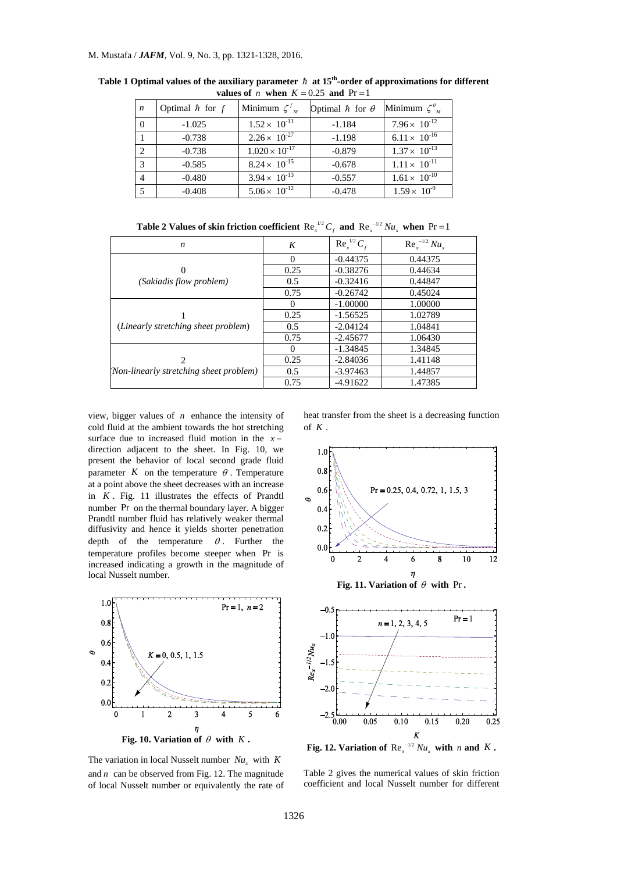| $\boldsymbol{n}$ | Optimal $\hbar$ for $f$ | Minimum $\zeta^t_{M}$   | Optimal $\hbar$ for $\theta$ | Minimum $\zeta_{M}^{\theta}$ |
|------------------|-------------------------|-------------------------|------------------------------|------------------------------|
| - 0              | $-1.025$                | $1.52 \times 10^{-11}$  | $-1.184$                     | $7.96 \times 10^{-12}$       |
|                  | $-0.738$                | $2.26 \times 10^{-27}$  | $-1.198$                     | $6.11 \times 10^{-16}$       |
| $\mathcal{L}$    | $-0.738$                | $1.020 \times 10^{-17}$ | $-0.879$                     | $1.37 \times 10^{-13}$       |
| $\mathcal{R}$    | $-0.585$                | $8.24 \times 10^{-15}$  | $-0.678$                     | $1.11 \times 10^{-11}$       |
|                  | $-0.480$                | $3.94 \times 10^{-13}$  | $-0.557$                     | $1.61 \times 10^{-10}$       |
|                  | $-0.408$                | $5.06 \times 10^{-12}$  | $-0.478$                     | $1.59 \times 10^{-9}$        |

Table 1 Optimal values of the auxiliary parameter  $\hbar$  at 15<sup>th</sup>-order of approximations for different **values of** *n* when  $K = 0.25$  and  $Pr = 1$ 

**Table 2 Values of skin friction coefficient**  $\text{Re}_x^{1/2} C_f$  **and**  $\text{Re}_x^{-1/2} Nu_x$  **when**  $\text{Pr} = 1$ 

| n                                                                                                                                                                                                                                                                                                                                                                                                                                                                                                                                                                                                     | K              | $\text{Re}_x^{1/2} C_f$ | $\text{Re}_{r}^{-1/2}Nu_{r}$            |  |  |  |
|-------------------------------------------------------------------------------------------------------------------------------------------------------------------------------------------------------------------------------------------------------------------------------------------------------------------------------------------------------------------------------------------------------------------------------------------------------------------------------------------------------------------------------------------------------------------------------------------------------|----------------|-------------------------|-----------------------------------------|--|--|--|
|                                                                                                                                                                                                                                                                                                                                                                                                                                                                                                                                                                                                       | $\theta$       | $-0.44375$              | 0.44375                                 |  |  |  |
| 0                                                                                                                                                                                                                                                                                                                                                                                                                                                                                                                                                                                                     | 0.25           | $-0.38276$              | 0.44634                                 |  |  |  |
| (Sakiadis flow problem)                                                                                                                                                                                                                                                                                                                                                                                                                                                                                                                                                                               | 0.5            | $-0.32416$              | 0.44847                                 |  |  |  |
|                                                                                                                                                                                                                                                                                                                                                                                                                                                                                                                                                                                                       | 0.75           | $-0.26742$              | 0.45024                                 |  |  |  |
|                                                                                                                                                                                                                                                                                                                                                                                                                                                                                                                                                                                                       | $\Omega$       | $-1.00000$              | 1.00000                                 |  |  |  |
|                                                                                                                                                                                                                                                                                                                                                                                                                                                                                                                                                                                                       | 0.25           | $-1.56525$              | 1.02789                                 |  |  |  |
| (Linearly stretching sheet problem)                                                                                                                                                                                                                                                                                                                                                                                                                                                                                                                                                                   | 0.5            | $-2.04124$              | 1.04841                                 |  |  |  |
|                                                                                                                                                                                                                                                                                                                                                                                                                                                                                                                                                                                                       | 0.75           | $-2.4567T$              | 1.06430                                 |  |  |  |
|                                                                                                                                                                                                                                                                                                                                                                                                                                                                                                                                                                                                       | $\overline{0}$ | $-1.34845$              | 1.34845                                 |  |  |  |
| $\mathfrak{D}$                                                                                                                                                                                                                                                                                                                                                                                                                                                                                                                                                                                        | 0.25           | $-2.84036$              | <b>I.41148</b>                          |  |  |  |
| (Non-linearly stretching sheet problem)                                                                                                                                                                                                                                                                                                                                                                                                                                                                                                                                                               | 0.5            | $-3.97463$              | 1.44857                                 |  |  |  |
|                                                                                                                                                                                                                                                                                                                                                                                                                                                                                                                                                                                                       | 0.75           | 4.91622                 | 1.47385                                 |  |  |  |
| be due to increased fluid motion in the $x \rightarrow$<br>ion adjacent to the sheet. In Fig. 10, we<br>1.0<br>nt the behavior of local second grade fluid<br>0.8<br>neter K on the temperature $\theta$ . Temperature<br>oint above the sheet decreases with an increase<br>0.6<br>$Pr = 0.25, 0.4, 0.72, 1, 1.5, 3$<br>. Fig. 11 illustrates the effects of Prandtl<br>¢<br>er Pr on the thermal boundary layer. A bigger<br>0.4<br>tl number fluid has relatively weaker thermal<br>0.2<br>ivity and hence it yields shorter penetration<br>the temperature $\theta$ . Further<br>οf<br>the<br>0.0 |                |                         |                                         |  |  |  |
| erature profiles become steeper when Pr is<br>used indicating a growth in the magnitude of                                                                                                                                                                                                                                                                                                                                                                                                                                                                                                            |                | $\overline{2}$<br>0     | 10<br>8<br>4<br>6                       |  |  |  |
| Nusselt number.                                                                                                                                                                                                                                                                                                                                                                                                                                                                                                                                                                                       |                |                         | Fig. 11. Variation of $\theta$ with Pr. |  |  |  |

view, bigger values of *n* enhance the intensity of cold fluid at the ambient towards the hot stretching surface due to increased fluid motion in the  $x_i$ direction adjacent to the sheet. In Fig. 10, present the behavior of local second grade fluid parameter  $K$  on the temperature  $\theta$ . Temperature at a point above the sheet decreases with an increase in *K* . Fig. 11 illustrates the effects of Prandtl number Pr on the thermal boundary layer. A bigger Prandtl number fluid has relatively weaker thermal diffusivity and hence it yields shorter penetration<br>depth of the temperature  $\theta$ . Further the depth of the temperature temperature profiles become steeper when Pr is increased indicating a growth in the magnitude of local Nusselt number.



The variation in local Nusselt number  $Nu_x$  with  $K$ and  $n$  can be observed from Fig. 12. The magnitude of local Nusselt number or equivalently the rate of

heat transfer from the sheet is a decreasing function of  $\vec{K}$ 



Table 2 gives the numerical values of skin friction coefficient and local Nusselt number for different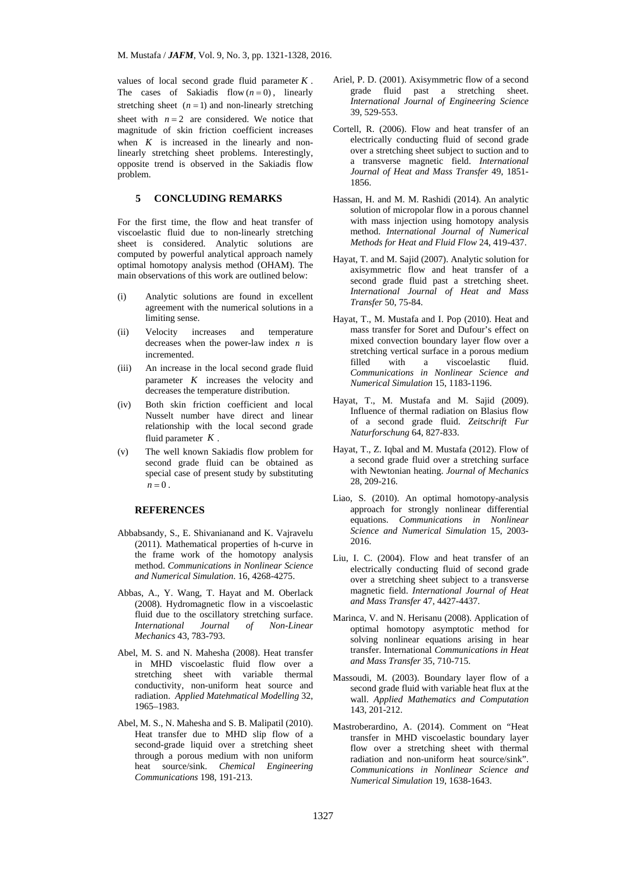values of local second grade fluid parameter *K* . The cases of Sakiadis flow  $(n = 0)$ , linearly stretching sheet  $(n = 1)$  and non-linearly stretching sheet with  $n = 2$  are considered. We notice that magnitude of skin friction coefficient increases when  $K$  is increased in the linearly and nonlinearly stretching sheet problems. Interestingly, opposite trend is observed in the Sakiadis flow problem.

#### **5 CONCLUDING REMARKS**

For the first time, the flow and heat transfer of viscoelastic fluid due to non-linearly stretching sheet is considered. Analytic solutions are computed by powerful analytical approach namely optimal homotopy analysis method (OHAM). The main observations of this work are outlined below:

- (i) Analytic solutions are found in excellent agreement with the numerical solutions in a limiting sense.
- (ii) Velocity increases and temperature decreases when the power-law index *n* is incremented.
- (iii) An increase in the local second grade fluid parameter *K* increases the velocity and decreases the temperature distribution.
- (iv) Both skin friction coefficient and local Nusselt number have direct and linear relationship with the local second grade fluid parameter *K* .
- (v) The well known Sakiadis flow problem for second grade fluid can be obtained as special case of present study by substituting  $n = 0$ .

## **REFERENCES**

- Abbabsandy, S., E. Shivanianand and K. Vajravelu (2011). Mathematical properties of h-curve in the frame work of the homotopy analysis method. *Communications in Nonlinear Science and Numerical Simulation*. 16, 4268-4275.
- Abbas, A., Y. Wang, T. Hayat and M. Oberlack (2008). Hydromagnetic flow in a viscoelastic fluid due to the oscillatory stretching surface. *International Journal of Non-Linear Mechanics* 43, 783-793.
- Abel, M. S. and N. Mahesha (2008). Heat transfer in MHD viscoelastic fluid flow over a stretching sheet with variable thermal conductivity, non-uniform heat source and radiation. *Applied Matehmatical Modelling* 32, 1965–1983.
- Abel, M. S., N. Mahesha and S. B. Malipatil (2010). Heat transfer due to MHD slip flow of a second-grade liquid over a stretching sheet through a porous medium with non uniform heat source/sink. *Chemical Engineering Communications* 198, 191-213.
- Ariel, P. D. (2001). Axisymmetric flow of a second grade fluid past a stretching sheet. *International Journal of Engineering Science* 39, 529-553.
- Cortell, R. (2006). Flow and heat transfer of an electrically conducting fluid of second grade over a stretching sheet subject to suction and to a transverse magnetic field. *International Journal of Heat and Mass Transfer* 49, 1851- 1856.
- Hassan, H. and M. M. Rashidi (2014). An analytic solution of micropolar flow in a porous channel with mass injection using homotopy analysis method. *International Journal of Numerical Methods for Heat and Fluid Flow* 24, 419-437.
- Hayat, T. and M. Sajid (2007). Analytic solution for axisymmetric flow and heat transfer of a second grade fluid past a stretching sheet. *International Journal of Heat and Mass Transfer* 50, 75-84.
- Are those that the second grade fluid and the second grade fluid past and the second grade fluid past and the second grade fluid past and the second grade fluid and the second grade fluid decreases when the power-law inde Hayat, T., M. Mustafa and I. Pop (2010). Heat and mass transfer for Soret and Dufour's effect on mixed convection boundary layer flow over a stretching vertical surface in a porous medium filled with a viscoelastic fluid. *Communications in Nonlinear Science and Numerical Simulation* 15, 1183-1196.
	- Hayat, T., M. Mustafa and M. Sajid (2009). Influence of thermal radiation on Blasius flow of a second grade fluid. *Zeitschrift Fur Naturforschung* 64, 827-833.
	- Hayat, T., Z. Iqbal and M. Mustafa (2012). Flow of a second grade fluid over a stretching surface with Newtonian heating. *Journal of Mechanics* 28, 209-216.
	- Liao, S. (2010). An optimal homotopy-analysis approach for strongly nonlinear differential equations. *Communications in Nonlinear Science and Numerical Simulation* 15, 2003- 2016.
	- Liu, I. C. (2004). Flow and heat transfer of an electrically conducting fluid of second grade over a stretching sheet subject to a transverse magnetic field. *International Journal of Heat and Mass Transfer* 47, 4427-4437.
	- Marinca, V. and N. Herisanu (2008). Application of optimal homotopy asymptotic method for solving nonlinear equations arising in hear transfer. International *Communications in Heat and Mass Transfer* 35, 710-715.
	- Massoudi, M. (2003). Boundary layer flow of a second grade fluid with variable heat flux at the wall. *Applied Mathematics and Computation* 143, 201-212.
	- Mastroberardino, A. (2014). Comment on "Heat transfer in MHD viscoelastic boundary layer flow over a stretching sheet with thermal radiation and non-uniform heat source/sink". *Communications in Nonlinear Science and Numerical Simulation* 19, 1638-1643.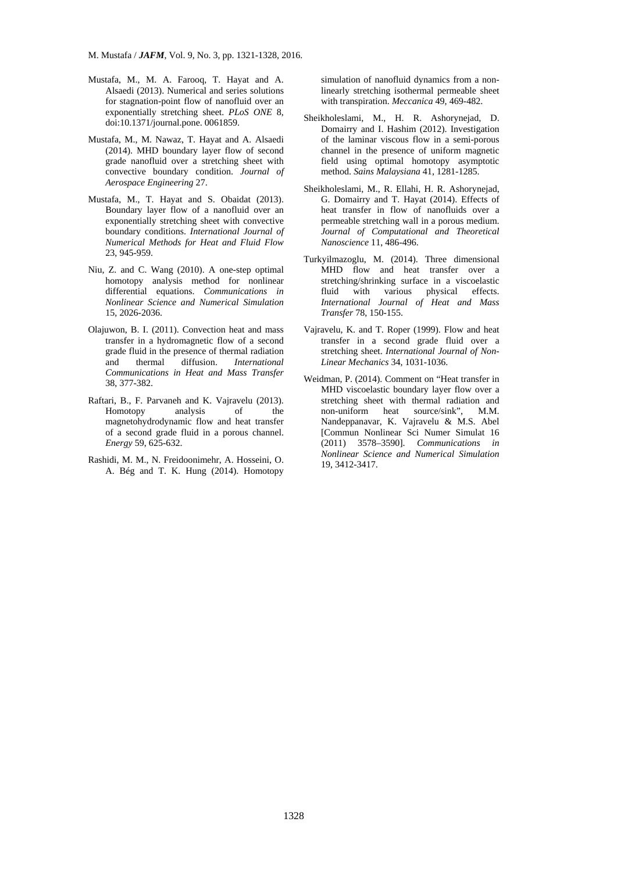- Mustafa, M., M. A. Farooq, T. Hayat and A. Alsaedi (2013). Numerical and series solutions for stagnation-point flow of nanofluid over an exponentially stretching sheet. *PLoS ONE* 8, doi:10.1371/journal.pone. 0061859.
- Mustafa, M., M. Nawaz, T. Hayat and A. Alsaedi (2014). MHD boundary layer flow of second grade nanofluid over a stretching sheet with convective boundary condition. *Journal of Aerospace Engineering* 27.
- Mustafa, M., T. Hayat and S. Obaidat (2013). Boundary layer flow of a nanofluid over an exponentially stretching sheet with convective boundary conditions. *International Journal of Numerical Methods for Heat and Fluid Flow* 23, 945-959.
- Niu, Z. and C. Wang (2010). A one-step optimal homotopy analysis method for nonlinear differential equations. *Communications in Nonlinear Science and Numerical Simulation* 15, 2026-2036.
- Olajuwon, B. I. (2011). Convection heat and mass transfer in a hydromagnetic flow of a second grade fluid in the presence of thermal radiation and thermal diffusion. *International Communications in Heat and Mass Transfer* 38, 377-382.
- Raftari, B., F. Parvaneh and K. Vajravelu (2013). Homotopy analysis of the magnetohydrodynamic flow and heat transfer of a second grade fluid in a porous channel. *Energy* 59, 625-632.
- Rashidi, M. M., N. Freidoonimehr, A. Hosseini, O. A. Bég and T. K. Hung (2014). Homotopy

simulation of nanofluid dynamics from a nonlinearly stretching isothermal permeable sheet with transpiration. *Meccanica* 49, 469-482.

- Sheikholeslami, M., H. R. Ashorynejad, D. Domairry and I. Hashim (2012). Investigation of the laminar viscous flow in a semi-porous channel in the presence of uniform magnetic field using optimal homotopy asymptotic method. *Sains Malaysiana* 41, 1281-1285.
- Sheikholeslami, M., R. Ellahi, H. R. Ashorynejad, G. Domairry and T. Hayat (2014). Effects of heat transfer in flow of nanofluids over a permeable stretching wall in a porous medium. *Journal of Computational and Theoretical Nanoscience* 11, 486-496.
- Turkyilmazoglu, M. (2014). Three dimensional MHD flow and heat transfer over a stretching/shrinking surface in a viscoelastic fluid with various physical effects. *International Journal of Heat and Mass Transfer* 78, 150-155.
- Vajravelu, K. and T. Roper (1999). Flow and heat transfer in a second grade fluid over a stretching sheet. *International Journal of Non-Linear Mechanics* 34, 1031-1036.
- C. Wang (2010). A one-step optimal MHD flow and heat transfer of a vanish method for nonlinear stretching shinking surface in a viscosine and Numerical Simulation International Journal of Heat and T. (2011). Convection be Weidman, P. (2014). Comment on "Heat transfer in MHD viscoelastic boundary layer flow over a stretching sheet with thermal radiation and non-uniform heat source/sink", M.M. Nandeppanavar, K. Vajravelu & M.S. Abel [Commun Nonlinear Sci Numer Simulat 16 (2011) 3578–3590]. *Communications in Nonlinear Science and Numerical Simulation* 19, 3412-3417.